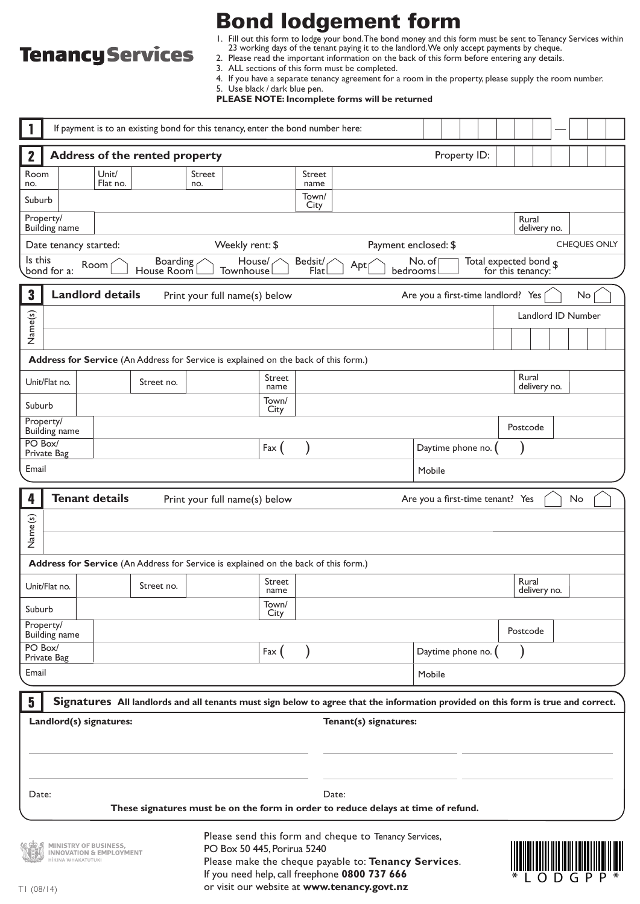# **Tenancy Services**

Bond lodgement form

1. Fill out this form to lodge your bond.The bond money and this form must be sent to Tenancy Services within 23 working days of the tenant paying it to the landlord.We only accept payments by cheque.

- 2. Please read the important information on the back of this form before entering any details.
	- 3. ALL sections of this form must be completed.
	- 4. If you have a separate tenancy agreement for a room in the property, please supply the room number.

5. Use black / dark blue pen.

**PLEASE NOTE: Incomplete forms will be returned**

| If payment is to an existing bond for this tenancy, enter the bond number here:                                                                                                                                |                                                                                                  |                                                             |                                                                                                                                   |               |                                                                                                       |                |                |                      |                   |                       |                                                                |  |              |  |                       |              |  |  |  |              |  |
|----------------------------------------------------------------------------------------------------------------------------------------------------------------------------------------------------------------|--------------------------------------------------------------------------------------------------|-------------------------------------------------------------|-----------------------------------------------------------------------------------------------------------------------------------|---------------|-------------------------------------------------------------------------------------------------------|----------------|----------------|----------------------|-------------------|-----------------------|----------------------------------------------------------------|--|--------------|--|-----------------------|--------------|--|--|--|--------------|--|
| <b>Address of the rented property</b><br>$\mathbf{2}$                                                                                                                                                          |                                                                                                  |                                                             |                                                                                                                                   |               |                                                                                                       |                |                |                      |                   |                       |                                                                |  | Property ID: |  |                       |              |  |  |  |              |  |
| Room<br>no.                                                                                                                                                                                                    |                                                                                                  | Unit/<br>Flat no.                                           |                                                                                                                                   | Street<br>no. |                                                                                                       |                | Street<br>name |                      |                   |                       |                                                                |  |              |  |                       |              |  |  |  |              |  |
| Suburb                                                                                                                                                                                                         |                                                                                                  |                                                             |                                                                                                                                   |               |                                                                                                       |                | Town/          |                      |                   |                       |                                                                |  |              |  |                       |              |  |  |  |              |  |
| Property/                                                                                                                                                                                                      |                                                                                                  |                                                             |                                                                                                                                   |               |                                                                                                       |                | City           |                      |                   |                       |                                                                |  |              |  | Rural<br>delivery no. |              |  |  |  |              |  |
| Building name<br>Weekly rent: \$<br>Date tenancy started:                                                                                                                                                      |                                                                                                  |                                                             |                                                                                                                                   |               |                                                                                                       |                |                | Payment enclosed: \$ |                   |                       |                                                                |  |              |  |                       |              |  |  |  | CHEQUES ONLY |  |
| Is this<br><b>Boarding</b><br>Bedsit/<br>Total expected bond $\boldsymbol{\mathsf{s}}$<br>House/<br>No. of<br>Apt<br>Room  <br>House Room<br>Flat<br>bond for a:<br>Townhouse<br>bedrooms<br>for this tenancy: |                                                                                                  |                                                             |                                                                                                                                   |               |                                                                                                       |                |                |                      |                   |                       |                                                                |  |              |  |                       |              |  |  |  |              |  |
|                                                                                                                                                                                                                |                                                                                                  |                                                             |                                                                                                                                   |               |                                                                                                       |                |                |                      |                   |                       |                                                                |  |              |  |                       |              |  |  |  |              |  |
|                                                                                                                                                                                                                | $\mathbf 3$<br><b>Landlord details</b><br>Print your full name(s) below                          |                                                             |                                                                                                                                   |               |                                                                                                       |                |                |                      |                   |                       | Are you a first-time landlord? Yes<br>No<br>Landlord ID Number |  |              |  |                       |              |  |  |  |              |  |
|                                                                                                                                                                                                                | Name(s)                                                                                          |                                                             |                                                                                                                                   |               |                                                                                                       |                |                |                      |                   |                       |                                                                |  |              |  |                       |              |  |  |  |              |  |
|                                                                                                                                                                                                                |                                                                                                  |                                                             |                                                                                                                                   |               |                                                                                                       |                |                |                      |                   |                       |                                                                |  |              |  |                       |              |  |  |  |              |  |
| Address for Service (An Address for Service is explained on the back of this form.)<br>Rural<br>Street                                                                                                         |                                                                                                  |                                                             |                                                                                                                                   |               |                                                                                                       |                |                |                      |                   |                       |                                                                |  |              |  |                       |              |  |  |  |              |  |
| Unit/Flat no.                                                                                                                                                                                                  |                                                                                                  |                                                             | Street no.                                                                                                                        |               | name                                                                                                  |                |                |                      |                   |                       |                                                                |  |              |  |                       | delivery no. |  |  |  |              |  |
| Town/<br>Suburb<br>City                                                                                                                                                                                        |                                                                                                  |                                                             |                                                                                                                                   |               |                                                                                                       |                |                |                      |                   |                       |                                                                |  |              |  |                       |              |  |  |  |              |  |
| Property/<br>Building name                                                                                                                                                                                     |                                                                                                  |                                                             |                                                                                                                                   |               |                                                                                                       |                |                |                      |                   |                       |                                                                |  | Postcode     |  |                       |              |  |  |  |              |  |
| PO Box/<br>Private Bag                                                                                                                                                                                         |                                                                                                  |                                                             |                                                                                                                                   | Fax (         |                                                                                                       |                |                |                      | Daytime phone no. |                       |                                                                |  |              |  |                       |              |  |  |  |              |  |
| Email                                                                                                                                                                                                          |                                                                                                  |                                                             |                                                                                                                                   |               |                                                                                                       |                |                | Mobile               |                   |                       |                                                                |  |              |  |                       |              |  |  |  |              |  |
| 4                                                                                                                                                                                                              | <b>Tenant details</b><br>Are you a first-time tenant? Yes<br>Print your full name(s) below<br>No |                                                             |                                                                                                                                   |               |                                                                                                       |                |                |                      |                   |                       |                                                                |  |              |  |                       |              |  |  |  |              |  |
|                                                                                                                                                                                                                |                                                                                                  |                                                             |                                                                                                                                   |               |                                                                                                       |                |                |                      |                   |                       |                                                                |  |              |  |                       |              |  |  |  |              |  |
|                                                                                                                                                                                                                | Name(s)                                                                                          |                                                             |                                                                                                                                   |               |                                                                                                       |                |                |                      |                   |                       |                                                                |  |              |  |                       |              |  |  |  |              |  |
| Address for Service (An Address for Service is explained on the back of this form.)                                                                                                                            |                                                                                                  |                                                             |                                                                                                                                   |               |                                                                                                       |                |                |                      |                   |                       |                                                                |  |              |  |                       |              |  |  |  |              |  |
| Unit/Flat no.                                                                                                                                                                                                  |                                                                                                  |                                                             | Street no.                                                                                                                        |               |                                                                                                       | Street<br>name |                |                      |                   |                       |                                                                |  |              |  | Rural<br>delivery no. |              |  |  |  |              |  |
| Suburb                                                                                                                                                                                                         |                                                                                                  |                                                             |                                                                                                                                   |               |                                                                                                       | Town/<br>City  |                |                      |                   |                       |                                                                |  |              |  |                       |              |  |  |  |              |  |
| Property/<br><b>Building</b> name                                                                                                                                                                              |                                                                                                  |                                                             |                                                                                                                                   |               |                                                                                                       |                |                |                      |                   |                       |                                                                |  | Postcode     |  |                       |              |  |  |  |              |  |
|                                                                                                                                                                                                                | PO Box/<br>Private Bag                                                                           |                                                             |                                                                                                                                   |               | Fax (                                                                                                 |                |                |                      |                   | Daytime phone no.     |                                                                |  |              |  |                       |              |  |  |  |              |  |
| Email                                                                                                                                                                                                          |                                                                                                  |                                                             |                                                                                                                                   |               |                                                                                                       |                |                |                      | Mobile            |                       |                                                                |  |              |  |                       |              |  |  |  |              |  |
| 5                                                                                                                                                                                                              |                                                                                                  |                                                             | Signatures All landlords and all tenants must sign below to agree that the information provided on this form is true and correct. |               |                                                                                                       |                |                |                      |                   |                       |                                                                |  |              |  |                       |              |  |  |  |              |  |
|                                                                                                                                                                                                                |                                                                                                  | Landlord(s) signatures:                                     |                                                                                                                                   |               |                                                                                                       |                |                |                      |                   | Tenant(s) signatures: |                                                                |  |              |  |                       |              |  |  |  |              |  |
|                                                                                                                                                                                                                |                                                                                                  |                                                             |                                                                                                                                   |               |                                                                                                       |                |                |                      |                   |                       |                                                                |  |              |  |                       |              |  |  |  |              |  |
|                                                                                                                                                                                                                |                                                                                                  |                                                             |                                                                                                                                   |               |                                                                                                       |                |                |                      |                   |                       |                                                                |  |              |  |                       |              |  |  |  |              |  |
|                                                                                                                                                                                                                |                                                                                                  |                                                             |                                                                                                                                   |               |                                                                                                       |                |                |                      |                   |                       |                                                                |  |              |  |                       |              |  |  |  |              |  |
| Date:                                                                                                                                                                                                          |                                                                                                  |                                                             | These signatures must be on the form in order to reduce delays at time of refund.                                                 |               |                                                                                                       |                |                | Date:                |                   |                       |                                                                |  |              |  |                       |              |  |  |  |              |  |
|                                                                                                                                                                                                                |                                                                                                  |                                                             |                                                                                                                                   |               |                                                                                                       |                |                |                      |                   |                       |                                                                |  |              |  |                       |              |  |  |  |              |  |
|                                                                                                                                                                                                                |                                                                                                  | MINISTRY OF BUSINESS,<br><b>INNOVATION &amp; EMPLOYMENT</b> |                                                                                                                                   |               | Please send this form and cheque to Tenancy Services,<br>PO Box 50 445, Porirua 5240                  |                |                |                      |                   |                       |                                                                |  |              |  |                       |              |  |  |  |              |  |
|                                                                                                                                                                                                                | <b>ITKINA WHAKATUTUKI</b>                                                                        |                                                             |                                                                                                                                   |               | Please make the cheque payable to: Tenancy Services.<br>If you need help, call freephone 0800 737 666 |                |                |                      |                   |                       |                                                                |  |              |  |                       |              |  |  |  |              |  |
|                                                                                                                                                                                                                |                                                                                                  |                                                             |                                                                                                                                   |               |                                                                                                       |                |                |                      |                   |                       |                                                                |  |              |  |                       |              |  |  |  |              |  |

or visit our website at **www.tenancy.govt.nz**